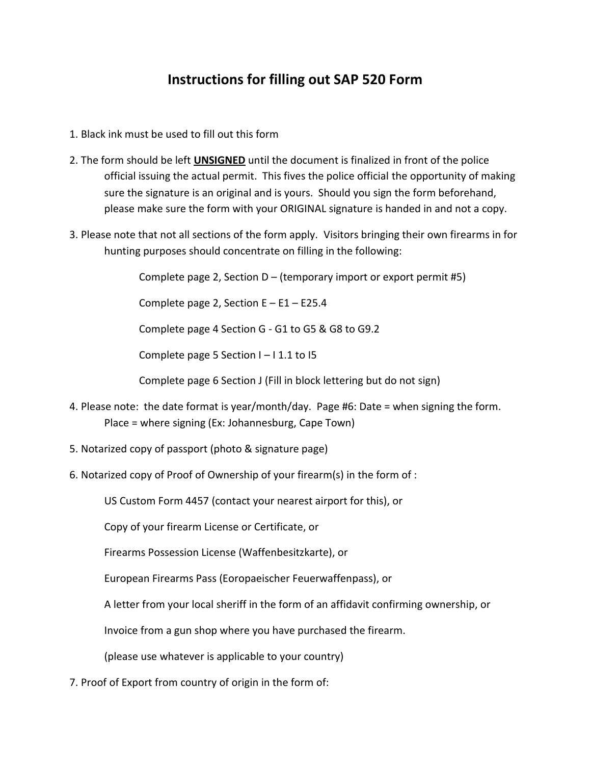## **Instructions for filling out SAP 520 Form**

- 1. Black ink must be used to fill out this form
- 2. The form should be left **UNSIGNED** until the document is finalized in front of the police official issuing the actual permit. This fives the police official the opportunity of making sure the signature is an original and is yours. Should you sign the form beforehand, please make sure the form with your ORIGINAL signature is handed in and not a copy.
- 3. Please note that not all sections of the form apply. Visitors bringing their own firearms in for hunting purposes should concentrate on filling in the following:

Complete page 2, Section D – (temporary import or export permit #5)

Complete page 2, Section  $E - E1 - E25.4$ 

Complete page 4 Section G - G1 to G5 & G8 to G9.2

Complete page 5 Section  $I - I 1.1$  to  $I5$ 

Complete page 6 Section J (Fill in block lettering but do not sign)

- 4. Please note: the date format is year/month/day. Page #6: Date = when signing the form. Place = where signing (Ex: Johannesburg, Cape Town)
- 5. Notarized copy of passport (photo & signature page)
- 6. Notarized copy of Proof of Ownership of your firearm(s) in the form of :

US Custom Form 4457 (contact your nearest airport for this), or

Copy of your firearm License or Certificate, or

Firearms Possession License (Waffenbesitzkarte), or

European Firearms Pass (Eoropaeischer Feuerwaffenpass), or

A letter from your local sheriff in the form of an affidavit confirming ownership, or

Invoice from a gun shop where you have purchased the firearm.

(please use whatever is applicable to your country)

7. Proof of Export from country of origin in the form of: